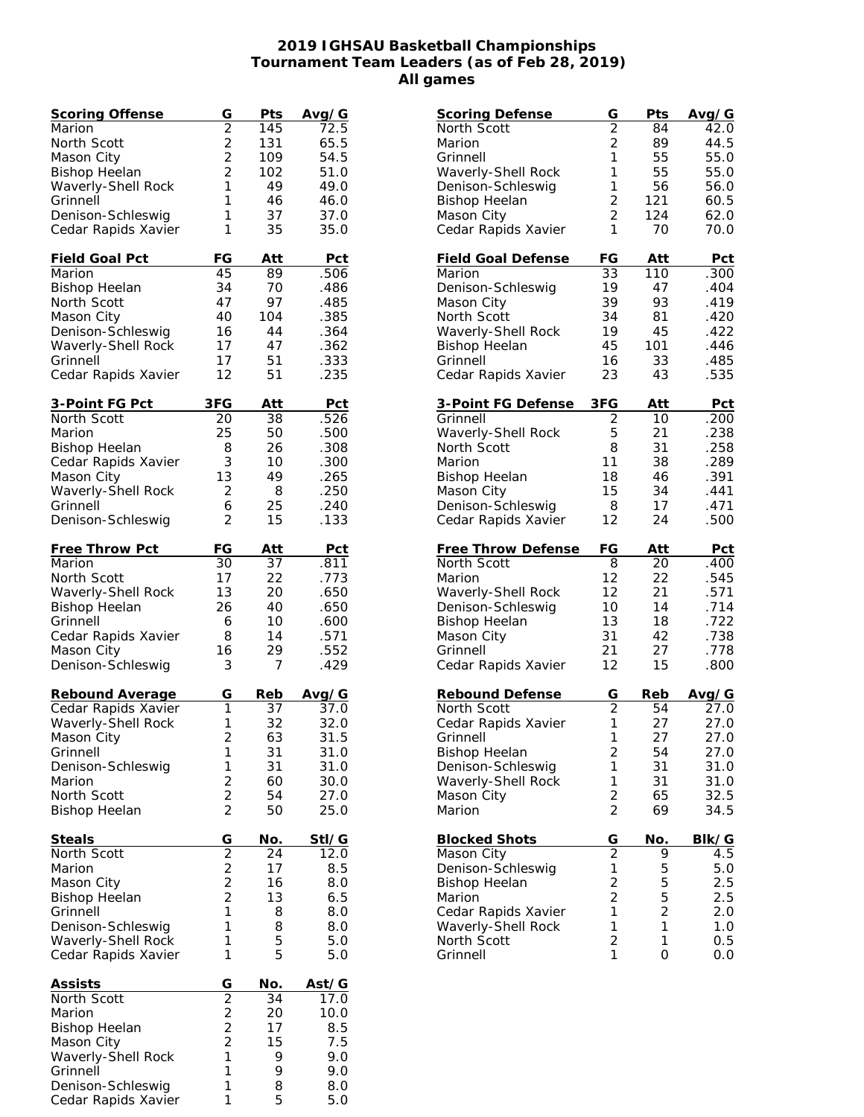## **2019 IGHSAU Basketball Championships Tournament Team Leaders (as of Feb 28, 2019) All games**

| Scoring Offense      | $rac{G}{2}$       | Pts | Avg/G |
|----------------------|-------------------|-----|-------|
| Marion               |                   | 145 | 72.5  |
| North Scott          | $\overline{c}$    | 131 | 65.5  |
| Mason City           | $\overline{2}$    | 109 | 54.5  |
| <b>Bishop Heelan</b> | $\overline{2}$    | 102 | 51.0  |
| Waverly-Shell Rock   | 1                 | 49  | 49.0  |
| Grinnell             | 1                 | 46  | 46.0  |
| Denison-Schleswig    | 1                 | 37  | 37.0  |
| Cedar Rapids Xavier  | 1                 | 35  | 35.0  |
|                      |                   |     |       |
| Field Goal Pct       | FG                | Att | Pct   |
| Marion               | 45                | 89  | .506  |
| <b>Bishop Heelan</b> | 34                | 70  | .486  |
| North Scott          | 47                | 97  | .485  |
| Mason City           | 40                | 104 | .385  |
| Denison-Schleswig    | 16                | 44  | .364  |
| Waverly-Shell Rock   | 17                | 47  | .362  |
| Grinnell             | 17                | 51  | .333  |
| Cedar Rapids Xavier  | 12                | 51  | .235  |
|                      |                   |     |       |
| 3-Point FG Pct       | 3FG               | Att | Pct   |
| North Scott          | 20                | 38  | .526  |
| Marion               | 25                | 50  | .500  |
| <b>Bishop Heelan</b> | 8                 | 26  | .308  |
| Cedar Rapids Xavier  | 3                 | 10  | .300  |
| Mason City           | 13                | 49  | .265  |
| Waverly-Shell Rock   | 2                 | 8   | .250  |
|                      |                   |     |       |
| Grinnell             | 6                 | 25  | .240  |
| Denison-Schleswig    | 2                 | 15  | .133  |
| Free Throw Pct       | FG                | Att | Pct   |
| Marion               | 30                | 37  | .811  |
| North Scott          | 17                | 22  | .773  |
| Waverly-Shell Rock   | 13                | 20  | .650  |
|                      | 26                |     |       |
| <b>Bishop Heelan</b> |                   | 40  | .650  |
| Grinnell             | 6                 | 10  | .600  |
| Cedar Rapids Xavier  | 8                 | 14  | .571  |
| Mason City           | 16                | 29  | .552  |
| Denison-Schleswig    | 3                 | 7   | .429  |
| Rebound Average      | G                 | Reb | Avg/G |
| Cedar Rapids Xavier  | 1                 | 37  | 37.0  |
| Waverly-Shell Rock   | 1                 | 32  | 32.0  |
| Mason City           | $\overline{c}$    | 63  | 31.5  |
| Grinnell             | 1                 | 31  | 31.0  |
| Denison-Schleswig    | 1                 | 31  | 31.0  |
| Marion               | $\overline{c}$    | 60  | 30.0  |
| North Scott          | $\overline{c}$    | 54  | 27.0  |
|                      | $\overline{2}$    |     | 25.0  |
| <b>Bishop Heelan</b> |                   | 50  |       |
| Steals               | G                 | No. | Stl/G |
| North Scott          | $\overline{2}$    | 24  | 12.0  |
| Marion               | $\overline{c}$    | 17  | 8.5   |
| Mason City           | $\overline{c}$    | 16  | 8.0   |
| <b>Bishop Heelan</b> | $\overline{c}$    | 13  | 6.5   |
| Grinnell             | 1                 | 8   | 8.0   |
| Denison-Schleswig    | 1                 | 8   | 8.0   |
| Waverly-Shell Rock   | 1                 | 5   | 5.0   |
| Cedar Rapids Xavier  | 1                 | 5   | 5.0   |
|                      |                   |     |       |
| <u>Assists</u>       |                   | No. | Ast/G |
| North Scott          | $rac{G}{2}$ 2 2 2 | 34  | 17.0  |
| Marion               |                   | 20  | 10.0  |
| <b>Bishop Heelan</b> |                   | 17  | 8.5   |
| Mason City           |                   | 15  | 7.5   |
| Waverly-Shell Rock   | $\mathbf{1}$      | 9   | 9.0   |
| Grinnell             | 1                 | 9   | 9.0   |
| Denison-Schleswig    | 1                 | 8   | 8.0   |
| Cedar Rapids Xavier  | 1                 | 5   | 5.0   |
|                      |                   |     |       |

| <b>Scoring Defense</b>            | G              | Pts                          | Avg/G      |
|-----------------------------------|----------------|------------------------------|------------|
| North Scott                       | $\overline{2}$ | 84                           | 42.0       |
| Marion                            | $\overline{2}$ | 89                           | 44.5       |
| Grinnell                          | 1              | 55                           | 55.0       |
| Waverly-Shell Rock                | 1              | 55                           | 55.0       |
| Denison-Schleswig                 | 1              | 56                           | 56.0       |
| <b>Bishop Heelan</b>              | $\overline{c}$ | 121                          | 60.5       |
| Mason City                        | $\overline{2}$ | 124                          | 62.0       |
| Cedar Rapids Xavier               | 1              | 70                           | 70.0       |
|                                   |                |                              |            |
| <b>Field Goal Defense</b>         | FG             | Att                          | Pct        |
| Marion                            | 33             | 110                          | .300       |
| Denison-Schleswig                 | 19             | 47                           | .404       |
| Mason City                        | 39             | 93                           | .419       |
| North Scott                       | 34             | 81                           | .420       |
| Waverly-Shell Rock                | 19             | 45                           | .422       |
| <b>Bishop Heelan</b>              | 45             | 101                          | .446       |
| Grinnell                          | 16             | 33                           | .485       |
| Cedar Rapids Xavier               | 23             | 43                           | .535       |
|                                   |                |                              |            |
| 3-Point FG Defense                | 3FG            | Att                          | <u>Pct</u> |
| Grinnell                          | 2              | 10                           | .200       |
| Waverly-Shell Rock                | 5              | 21                           | .238       |
| North Scott                       | 8              | 31                           | .258       |
| Marion                            | 11             | 38                           | .289       |
| <b>Bishop Heelan</b>              | 18             | 46                           | .391       |
| Mason City                        | 15             | 34                           | .441       |
| Denison-Schleswig                 | 8              | 17                           | .471       |
| Cedar Rapids Xavier               | 12             | 24                           | .500       |
|                                   |                |                              |            |
|                                   |                |                              |            |
| <b>Free Throw Defense</b>         | FG             | Att                          | <b>Pct</b> |
| North Scott                       | 8              | 20                           | .400       |
| Marion                            | 12             | 22                           | .545       |
| Waverly-Shell Rock                | 12             | 21                           | .571       |
| Denison-Schleswig                 | 10             | 14                           | .714       |
| <b>Bishop Heelan</b>              | 13             | 18                           | .722       |
| Mason City                        | 31             | 42                           | .738       |
| Grinnell                          | 21             | 27                           | .778       |
| Cedar Rapids Xavier               | 12             | 15                           | .800       |
| Rebound Defense                   | G              | Reb                          |            |
|                                   |                | 54                           | Avg/G      |
| North Scott                       | $\overline{2}$ | 27                           | 27.0       |
| Cedar Rapids Xavier               | $\mathbf 1$    |                              | 27.0       |
| Grinnell                          | 1              | 27                           | 27.0       |
| <b>Bishop Heelan</b>              | 2              | 54                           | 27.0       |
| Denison-Schleswig                 | 1              | 31                           | 31.0       |
| Waverly-Shell Rock                | 1              | 31                           | 31.0       |
| Mason City                        | $\overline{c}$ | 65                           | 32.5       |
| Marion                            | $\overline{2}$ | 69                           | 34.5       |
| <b>Blocked Shots</b>              | G              | No.                          | BIk/G      |
| Mason City                        | $\overline{2}$ | 9                            | 4.5        |
| Denison-Schleswig                 | 1              | 5                            | 5.0        |
| <b>Bishop Heelan</b>              | $\overline{c}$ | 5                            | 2.5        |
| Marion                            | $\overline{c}$ | 5                            | 2.5        |
|                                   | 1              |                              |            |
| Cedar Rapids Xavier               | 1              | $\overline{\mathbf{c}}$<br>1 | 2.0        |
| Waverly-Shell Rock<br>North Scott | $\overline{c}$ | 1                            | 1.0<br>0.5 |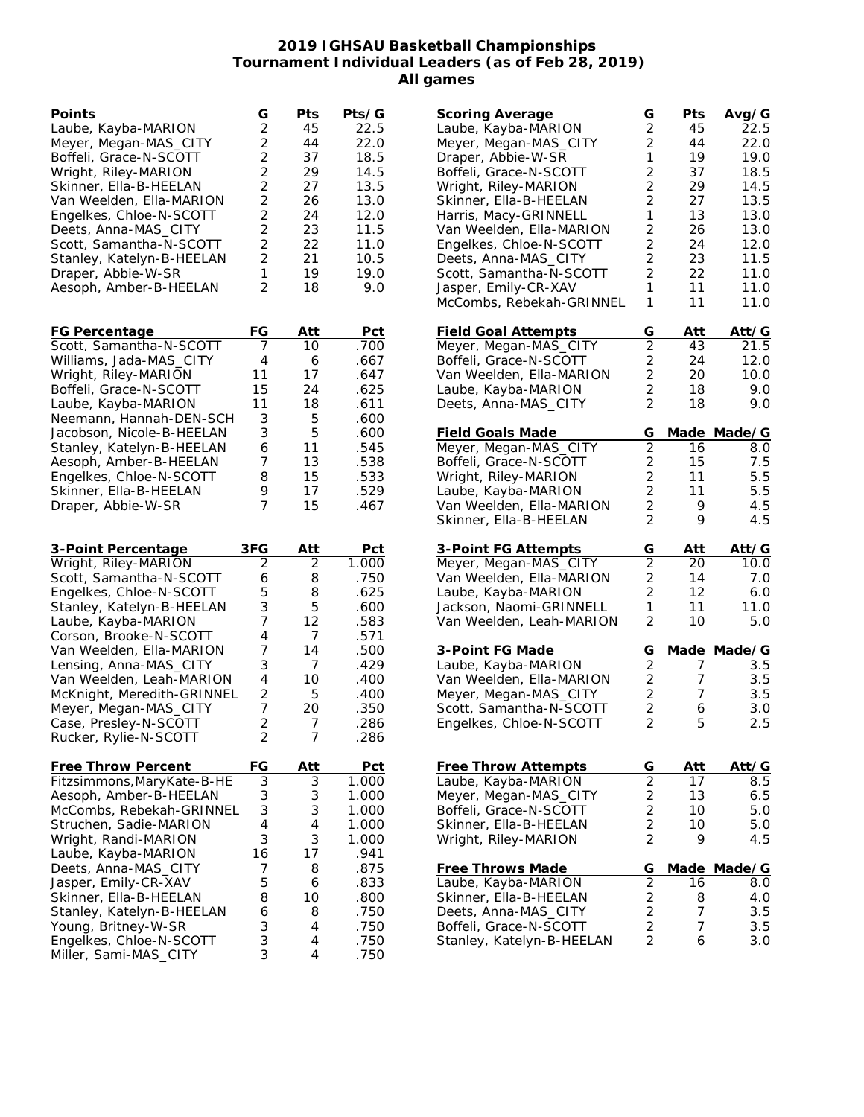## **2019 IGHSAU Basketball Championships Tournament Individual Leaders (as of Feb 28, 2019) All games**

| Points                                           | G                                | Pts    | Pts/G        |
|--------------------------------------------------|----------------------------------|--------|--------------|
| Laube, Kayba-MARION                              | $\overline{2}$                   | 45     | 22.5         |
| Meyer, Megan-MAS_CITY                            | $\overline{c}$                   | 44     | 22.0         |
| Boffeli, Grace-N-SCOTT                           | $\overline{c}$                   | 37     | 18.5         |
| Wright, Riley-MARION                             | $\overline{2}$                   | 29     | 14.5         |
| Skinner, Ella-B-HEELAN                           | $\overline{c}$                   | 27     | 13.5         |
| Van Weelden, Ella-MARION                         |                                  | 26     | 13.0         |
| Engelkes, Chloe-N-SCOTT                          | $\frac{2}{2}$                    | 24     | 12.0         |
| Deets, Anna-MAS_CITY                             | $\overline{2}$                   | 23     | 11.5         |
| Scott, Samantha-N-SCOTT                          | $\overline{2}$                   | 22     | 11.0         |
| Stanley, Katelyn-B-HEELAN                        | $\overline{2}$                   | 21     | 10.5         |
| Draper, Abbie-W-SR                               | 1                                | 19     | 19.0         |
| Aesoph, Amber-B-HEELAN                           | 2                                | 18     | 9.0          |
|                                                  |                                  |        |              |
| FG Percentage                                    | FG                               | Att    | Pct          |
| Scott, Samantha-N-SCOTT                          | 7                                | 10     | .700         |
| Williams, Jada-MAS_CITY                          | 4                                | 6      | .667         |
| Wright, Riley-MARION                             | 11                               | 17     | .647         |
|                                                  | 15                               |        | .625         |
| Boffeli, Grace-N-SCOTT                           | 11                               | 24     |              |
| Laube, Kayba-MARION                              |                                  | 18     | .611         |
| Neemann, Hannah-DEN-SCH                          | 3                                | 5      | .600         |
| Jacobson, Nicole-B-HEELAN                        | 3                                | 5      | .600         |
| Stanley, Katelyn-B-HEELAN                        | 6                                | 11     | .545         |
| Aesoph, Amber-B-HEELAN                           | 7                                | 13     | .538         |
| Engelkes, Chloe-N-SCOTT                          | 8<br>9                           | 15     | .533         |
| Skinner, Ella-B-HEELAN                           | 7                                | 17     | .529         |
| Draper, Abbie-W-SR                               |                                  | 15     | .467         |
|                                                  |                                  |        |              |
|                                                  |                                  |        |              |
| 3-Point Percentage                               | 3FG                              | Att    | Pct          |
| Wright, Riley-MARION                             | $\overline{2}$                   | 2      | 1.000        |
| Scott, Samantha-N-SCOTT                          | 6                                | 8      | .750         |
| Engelkes, Chloe-N-SCOTT                          | 5                                | 8      | .625         |
| Stanley, Katelyn-B-HEELAN                        | 3                                | 5      | .600         |
| Laube, Kayba-MARION                              | 7                                | 12     | .583         |
| Corson, Brooke-N-SCOTT                           | 4                                | 7      | .571         |
| Van Weelden, Ella-MARION                         | 7                                | 14     | .500         |
| Lensing, Anna-MAS_CITY                           | 3                                | 7      | .429         |
| Van Weelden, Leah-MARION                         | 4                                | 10     | .400         |
| McKnight, Meredith-GRINNEL                       | 2                                | 5      | .400         |
| Meyer, Megan-MAS_CITY                            | 7                                | 20     | .350         |
| Case, Presley-N-SCOTT<br>Rucker, Rylie-N-SCOTT   | $\overline{2}$<br>$\overline{c}$ | 7<br>7 | .286<br>.286 |
|                                                  |                                  |        |              |
| <b>Free Throw Percent</b>                        | FG                               | Att    | <u>Pct</u>   |
| Fitzsimmons, MaryKate-B-HE                       | 3                                | 3      | 1.000        |
| Aesoph, Amber-B-HEELAN                           | 3                                | 3      | 1.000        |
| McCombs, Rebekah-GRINNEL                         | 3                                | 3      | 1.000        |
| Struchen, Sadie-MARION                           | $\overline{4}$                   | 4      | 1.000        |
| Wright, Randi-MARION                             | 3                                | 3      | 1.000        |
| Laube, Kayba-MARION                              | 16                               | 17     | .941         |
| Deets, Anna-MAS_CITY                             | 7                                | 8      | .875         |
| Jasper, Emily-CR-XAV                             | 5                                | 6      | .833         |
| Skinner, Ella-B-HEELAN                           | 8                                | 10     | .800         |
| Stanley, Katelyn-B-HEELAN                        | 6                                | 8      | .750         |
| Young, Britney-W-SR                              | 3                                | 4      | .750         |
| Engelkes, Chloe-N-SCOTT<br>Miller, Sami-MAS_CITY | 3<br>3                           | 4<br>4 | .750<br>.750 |

| Scoring Average                                     | G                       | Pts             | Avg/G       |
|-----------------------------------------------------|-------------------------|-----------------|-------------|
| Laube, Kayba-MARION                                 | $\overline{2}$          | 45              | 22.5        |
| Meyer, Megan-MAS_CITY                               | $\overline{2}$          | 44              | 22.0        |
| Draper, Abbie-W-SR                                  | 1                       | 19              | 19.0        |
| Boffeli, Grace-N-SCOTT                              | $\overline{c}$          | 37              | 18.5        |
|                                                     |                         |                 |             |
| Wright, Riley-MARION                                | $\overline{2}$          | 29              | 14.5        |
| Skinner, Ella-B-HEELAN                              | $\overline{2}$          | 27              | 13.5        |
| Harris, Macy-GRINNELL                               | 1                       | 13              | 13.0        |
| Van Weelden, Ella-MARION                            | $\overline{2}$          | 26              | 13.0        |
|                                                     |                         |                 |             |
| Engelkes, Chloe-N-SCOTT                             | $\overline{2}$          | 24              | 12.0        |
| Deets, Anna-MAS_CITY                                | $\overline{2}$          | 23              | 11.5        |
| Scott, Samantha-N-SCOTT                             | 2                       | 22              | 11.0        |
| Jasper, Emily-CR-XAV                                | 1                       | 11              | 11.0        |
| McCombs, Rebekah-GRINNEL                            | 1                       | 11              | 11.0        |
|                                                     |                         |                 |             |
|                                                     |                         |                 |             |
| <b>Field Goal Attempts</b>                          | G                       | Att             | Att/G       |
| Meyer, Megan-MAS_CITY                               | $\overline{2}$          | 43              | 21.5        |
| Boffeli, Grace-N-SCOTT                              | 2                       | 24              | 12.0        |
| Van Weelden, Ella-MARION                            | $\overline{\mathbf{c}}$ | 20              | 10.0        |
| Laube, Kayba-MARION                                 | $\overline{2}$          | 18              | 9.0         |
|                                                     |                         |                 |             |
| Deets, Anna-MAS_CITY                                | $\overline{2}$          | 18              | 9.0         |
|                                                     |                         |                 |             |
| <b>Field Goals Made</b>                             | G                       |                 | Made Made/G |
| Meyer, Megan-MAS_CITY                               | $\overline{2}$          | 16              | 8.0         |
| Boffeli, Grace-N-SCOTT                              | $\overline{c}$          | 15              | 7.5         |
| Wright, Riley-MARION                                |                         | 11              | 5.5         |
| Laube, Kayba-MARION                                 | $\frac{2}{2}$           | 11              | 5.5         |
| Van Weelden, Ella-MARION                            |                         |                 | 4.5         |
|                                                     | $\overline{c}$          | 9               |             |
| Skinner, Ella-B-HEELAN                              | $\overline{2}$          | 9               | 4.5         |
|                                                     |                         |                 |             |
| 3-Point FG Attempts                                 | G                       | Att             | Att/G       |
| Meyer, Megan-MAS_CITY                               | $\overline{2}$          | 20              | 10.0        |
| Van Weelden, Ella-MARION                            | $\overline{c}$          | 14              | 7.0         |
| Laube, Kayba-MARION                                 | $\overline{2}$          | 12 <sup>2</sup> | 6.0         |
|                                                     | 1                       |                 |             |
| Jackson, Naomi-GRINNELL                             |                         | 11              | 11.0        |
| Van Weelden, Leah-MARION                            | $\overline{2}$          | 10              | 5.0         |
|                                                     |                         |                 |             |
| 3-Point FG Made                                     | G                       |                 | Made Made/G |
| Laube, Kayba-MARION                                 |                         |                 |             |
| Van Weelden, Ella-MARION                            | $\overline{2}$          | 7               | 3.5         |
|                                                     |                         |                 |             |
|                                                     | $\overline{\mathbf{c}}$ | 7               | 3.5         |
| Meyer, Megan-MAS_CITY                               | $\overline{2}$          | $7\overline{ }$ | 3.5         |
| Scott, Samantha-N-SCOTT                             |                         | 6               | 3.0         |
| Engelkes, Chloe-N-SCOTT                             | $\frac{2}{2}$           | 5               | 2.5         |
|                                                     |                         |                 |             |
|                                                     |                         |                 |             |
| Free Throw Attempts                                 | G                       | Att             | Att⁄G       |
|                                                     |                         | 17              |             |
| Laube, Kayba-MARION                                 |                         |                 | 8.5         |
| Meyer, Megan-MAS_CITY                               |                         | 13              | 6.5         |
| Boffeli, Grace-N-SCOTT                              |                         | 10              | 5.0         |
| Skinner, Ella-B-HEELAN                              |                         | 10              | 5.0         |
| Wright, Riley-MARION                                | 2222                    | 9               | 4.5         |
|                                                     |                         |                 |             |
| Free Throws Made                                    | G                       | Made            | Made/G      |
|                                                     |                         | 16              | 8.0         |
| Laube, Kayba-MARION                                 |                         |                 |             |
| Skinner, Ella-B-HEELAN                              |                         | 8               | 4.0         |
| Deets, Anna-MAS_CITY                                |                         | 7               | 3.5         |
| Boffeli, Grace-N-SCOTT<br>Stanley, Katelyn-B-HEELAN | 2222                    | 7<br>6          | 3.5<br>3.0  |